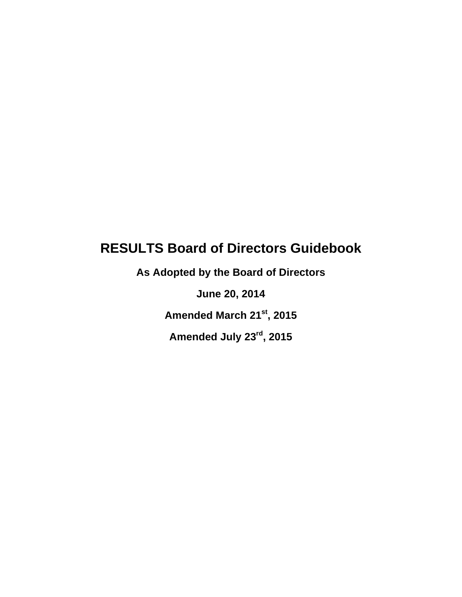# **RESULTS Board of Directors Guidebook**

**As Adopted by the Board of Directors**

**June 20, 2014**

**Amended March 21st, 2015**

**Amended July 23rd, 2015**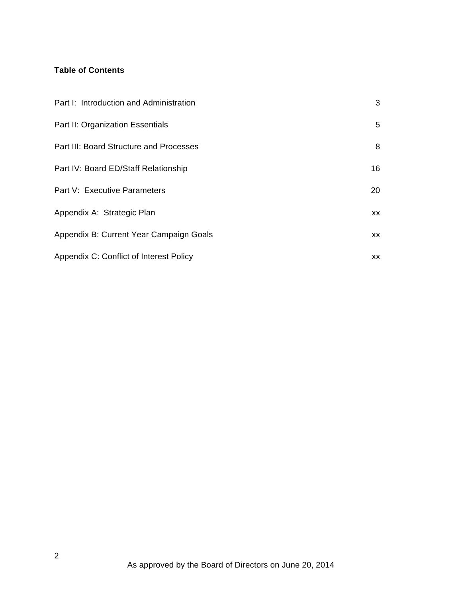## **Table of Contents**

| Part I: Introduction and Administration | 3  |
|-----------------------------------------|----|
| Part II: Organization Essentials        | 5  |
| Part III: Board Structure and Processes | 8  |
| Part IV: Board ED/Staff Relationship    | 16 |
| Part V: Executive Parameters            | 20 |
| Appendix A: Strategic Plan              | XX |
| Appendix B: Current Year Campaign Goals | XX |
| Appendix C: Conflict of Interest Policy | XX |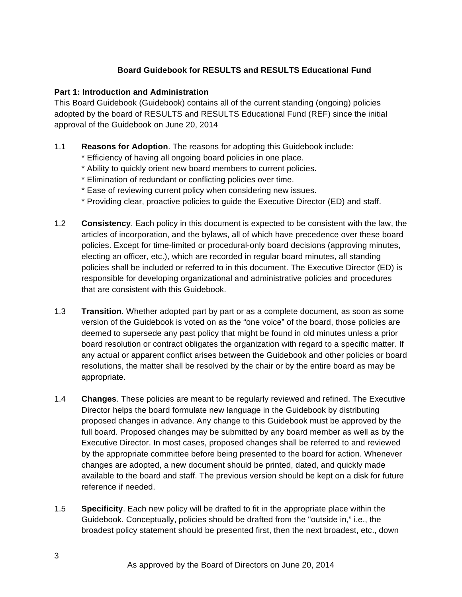## **Board Guidebook for RESULTS and RESULTS Educational Fund**

#### **Part 1: Introduction and Administration**

This Board Guidebook (Guidebook) contains all of the current standing (ongoing) policies adopted by the board of RESULTS and RESULTS Educational Fund (REF) since the initial approval of the Guidebook on June 20, 2014

#### 1.1 **Reasons for Adoption**. The reasons for adopting this Guidebook include:

- \* Efficiency of having all ongoing board policies in one place.
- \* Ability to quickly orient new board members to current policies.
- \* Elimination of redundant or conflicting policies over time.
- \* Ease of reviewing current policy when considering new issues.
- \* Providing clear, proactive policies to guide the Executive Director (ED) and staff.
- 1.2 **Consistency**. Each policy in this document is expected to be consistent with the law, the articles of incorporation, and the bylaws, all of which have precedence over these board policies. Except for time-limited or procedural-only board decisions (approving minutes, electing an officer, etc.), which are recorded in regular board minutes, all standing policies shall be included or referred to in this document. The Executive Director (ED) is responsible for developing organizational and administrative policies and procedures that are consistent with this Guidebook.
- 1.3 **Transition**. Whether adopted part by part or as a complete document, as soon as some version of the Guidebook is voted on as the "one voice" of the board, those policies are deemed to supersede any past policy that might be found in old minutes unless a prior board resolution or contract obligates the organization with regard to a specific matter. If any actual or apparent conflict arises between the Guidebook and other policies or board resolutions, the matter shall be resolved by the chair or by the entire board as may be appropriate.
- 1.4 **Changes**. These policies are meant to be regularly reviewed and refined. The Executive Director helps the board formulate new language in the Guidebook by distributing proposed changes in advance. Any change to this Guidebook must be approved by the full board. Proposed changes may be submitted by any board member as well as by the Executive Director. In most cases, proposed changes shall be referred to and reviewed by the appropriate committee before being presented to the board for action. Whenever changes are adopted, a new document should be printed, dated, and quickly made available to the board and staff. The previous version should be kept on a disk for future reference if needed.
- 1.5 **Specificity**. Each new policy will be drafted to fit in the appropriate place within the Guidebook. Conceptually, policies should be drafted from the "outside in," i.e., the broadest policy statement should be presented first, then the next broadest, etc., down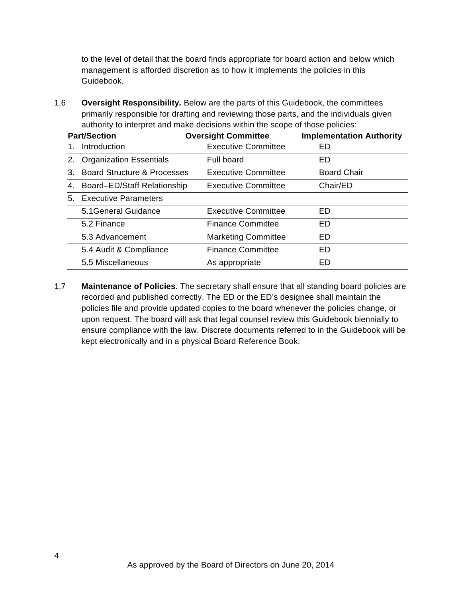to the level of detail that the board finds appropriate for board action and below which management is afforded discretion as to how it implements the policies in this Guidebook.

1.6 **Oversight Responsibility***.* Below are the parts of this Guidebook, the committees primarily responsible for drafting and reviewing those parts, and the individuals given authority to interpret and make decisions within the scope of those policies:

|    | <b>Part/Section</b>                    | <b>Oversight Committee</b> | <b>Implementation Authority</b> |
|----|----------------------------------------|----------------------------|---------------------------------|
|    | Introduction                           | <b>Executive Committee</b> | ED                              |
| 2. | <b>Organization Essentials</b>         | Full board                 | ED                              |
| 3. | <b>Board Structure &amp; Processes</b> | <b>Executive Committee</b> | <b>Board Chair</b>              |
| 4. | Board-ED/Staff Relationship            | <b>Executive Committee</b> | Chair/ED                        |
|    | 5. Executive Parameters                |                            |                                 |
|    | 5.1 General Guidance                   | <b>Executive Committee</b> | ED                              |
|    | 5.2 Finance                            | <b>Finance Committee</b>   | <b>ED</b>                       |
|    | 5.3 Advancement                        | <b>Marketing Committee</b> | ED                              |
|    | 5.4 Audit & Compliance                 | <b>Finance Committee</b>   | <b>ED</b>                       |
|    | 5.5 Miscellaneous                      | As appropriate             | ED                              |

1.7 **Maintenance of Policies**. The secretary shall ensure that all standing board policies are recorded and published correctly. The ED or the ED's designee shall maintain the policies file and provide updated copies to the board whenever the policies change, or upon request. The board will ask that legal counsel review this Guidebook biennially to ensure compliance with the law. Discrete documents referred to in the Guidebook will be kept electronically and in a physical Board Reference Book.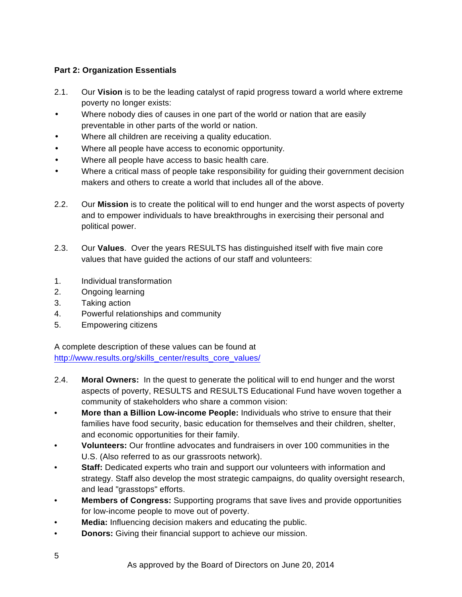## **Part 2: Organization Essentials**

- 2.1. Our **Vision** is to be the leading catalyst of rapid progress toward a world where extreme poverty no longer exists:
- Where nobody dies of causes in one part of the world or nation that are easily preventable in other parts of the world or nation.
- Where all children are receiving a quality education.
- Where all people have access to economic opportunity.
- Where all people have access to basic health care.
- Where a critical mass of people take responsibility for guiding their government decision makers and others to create a world that includes all of the above.
- 2.2. Our **Mission** is to create the political will to end hunger and the worst aspects of poverty and to empower individuals to have breakthroughs in exercising their personal and political power.
- 2.3. Our **Values**. Over the years RESULTS has distinguished itself with five main core values that have guided the actions of our staff and volunteers:
- 1. Individual transformation
- 2. Ongoing learning
- 3. Taking action
- 4. Powerful relationships and community
- 5. Empowering citizens

A complete description of these values can be found at http://www.results.org/skills\_center/results\_core\_values/

- 2.4. **Moral Owners:** In the quest to generate the political will to end hunger and the worst aspects of poverty, RESULTS and RESULTS Educational Fund have woven together a community of stakeholders who share a common vision:
- **More than a Billion Low-income People:** Individuals who strive to ensure that their families have food security, basic education for themselves and their children, shelter, and economic opportunities for their family.
- **Volunteers:** Our frontline advocates and fundraisers in over 100 communities in the U.S. (Also referred to as our grassroots network).
- **Staff:** Dedicated experts who train and support our volunteers with information and strategy. Staff also develop the most strategic campaigns, do quality oversight research, and lead "grasstops" efforts.
- **Members of Congress:** Supporting programs that save lives and provide opportunities for low-income people to move out of poverty.
- **Media:** Influencing decision makers and educating the public.
- **Donors:** Giving their financial support to achieve our mission.

5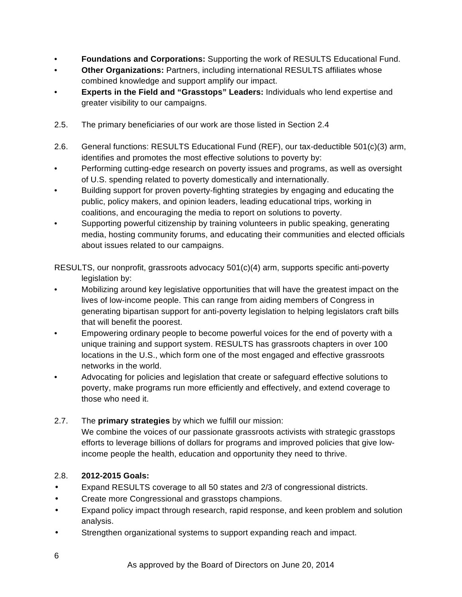- **Foundations and Corporations:** Supporting the work of RESULTS Educational Fund.
- **Other Organizations:** Partners, including international RESULTS affiliates whose combined knowledge and support amplify our impact.
- **Experts in the Field and "Grasstops" Leaders:** Individuals who lend expertise and greater visibility to our campaigns.
- 2.5. The primary beneficiaries of our work are those listed in Section 2.4
- 2.6. General functions: RESULTS Educational Fund (REF), our tax-deductible 501(c)(3) arm, identifies and promotes the most effective solutions to poverty by:
- Performing cutting-edge research on poverty issues and programs, as well as oversight of U.S. spending related to poverty domestically and internationally.
- Building support for proven poverty-fighting strategies by engaging and educating the public, policy makers, and opinion leaders, leading educational trips, working in coalitions, and encouraging the media to report on solutions to poverty.
- Supporting powerful citizenship by training volunteers in public speaking, generating media, hosting community forums, and educating their communities and elected officials about issues related to our campaigns.

RESULTS, our nonprofit, grassroots advocacy 501(c)(4) arm, supports specific anti-poverty legislation by:

- Mobilizing around key legislative opportunities that will have the greatest impact on the lives of low-income people. This can range from aiding members of Congress in generating bipartisan support for anti-poverty legislation to helping legislators craft bills that will benefit the poorest.
- Empowering ordinary people to become powerful voices for the end of poverty with a unique training and support system. RESULTS has grassroots chapters in over 100 locations in the U.S., which form one of the most engaged and effective grassroots networks in the world.
- Advocating for policies and legislation that create or safeguard effective solutions to poverty, make programs run more efficiently and effectively, and extend coverage to those who need it.
- 2.7. The **primary strategies** by which we fulfill our mission: We combine the voices of our passionate grassroots activists with strategic grasstops efforts to leverage billions of dollars for programs and improved policies that give lowincome people the health, education and opportunity they need to thrive.

## 2.8. **2012-2015 Goals:**

- Expand RESULTS coverage to all 50 states and 2/3 of congressional districts.
- Create more Congressional and grasstops champions.
- Expand policy impact through research, rapid response, and keen problem and solution analysis.
- Strengthen organizational systems to support expanding reach and impact.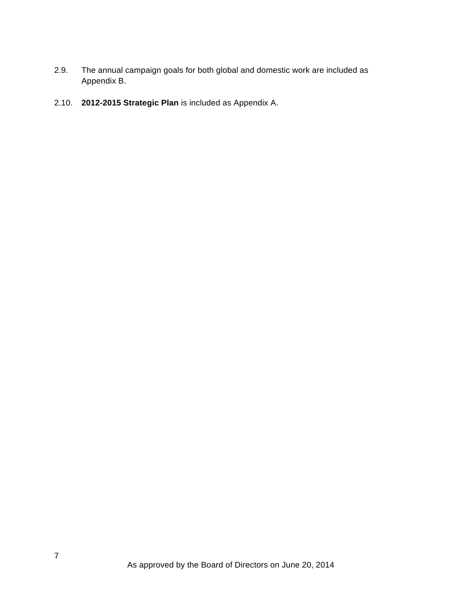- 2.9. The annual campaign goals for both global and domestic work are included as Appendix B.
- 2.10. **2012-2015 Strategic Plan** is included as Appendix A.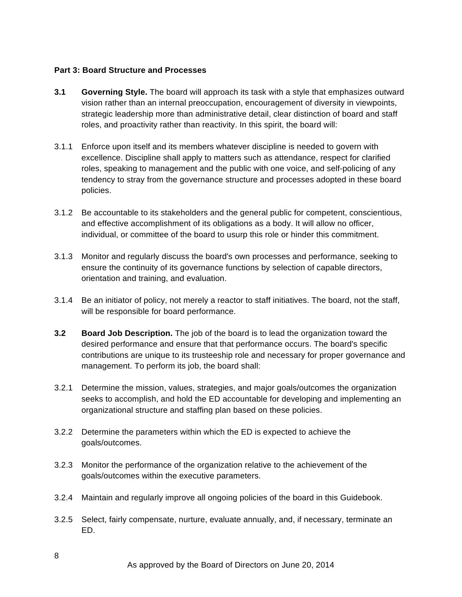#### **Part 3: Board Structure and Processes**

- **3.1 Governing Style.** The board will approach its task with a style that emphasizes outward vision rather than an internal preoccupation, encouragement of diversity in viewpoints, strategic leadership more than administrative detail, clear distinction of board and staff roles, and proactivity rather than reactivity. In this spirit, the board will:
- 3.1.1 Enforce upon itself and its members whatever discipline is needed to govern with excellence. Discipline shall apply to matters such as attendance, respect for clarified roles, speaking to management and the public with one voice, and self-policing of any tendency to stray from the governance structure and processes adopted in these board policies.
- 3.1.2 Be accountable to its stakeholders and the general public for competent, conscientious, and effective accomplishment of its obligations as a body. It will allow no officer, individual, or committee of the board to usurp this role or hinder this commitment.
- 3.1.3 Monitor and regularly discuss the board's own processes and performance, seeking to ensure the continuity of its governance functions by selection of capable directors, orientation and training, and evaluation.
- 3.1.4 Be an initiator of policy, not merely a reactor to staff initiatives. The board, not the staff, will be responsible for board performance.
- **3.2 Board Job Description.** The job of the board is to lead the organization toward the desired performance and ensure that that performance occurs. The board's specific contributions are unique to its trusteeship role and necessary for proper governance and management. To perform its job, the board shall:
- 3.2.1 Determine the mission, values, strategies, and major goals/outcomes the organization seeks to accomplish, and hold the ED accountable for developing and implementing an organizational structure and staffing plan based on these policies.
- 3.2.2 Determine the parameters within which the ED is expected to achieve the goals/outcomes.
- 3.2.3 Monitor the performance of the organization relative to the achievement of the goals/outcomes within the executive parameters.
- 3.2.4 Maintain and regularly improve all ongoing policies of the board in this Guidebook.
- 3.2.5 Select, fairly compensate, nurture, evaluate annually, and, if necessary, terminate an ED.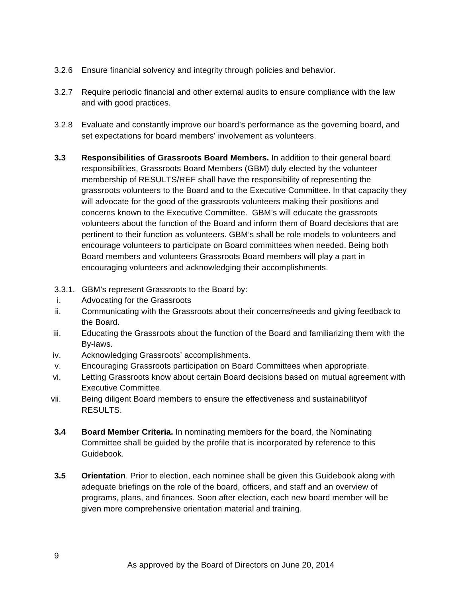- 3.2.6 Ensure financial solvency and integrity through policies and behavior.
- 3.2.7 Require periodic financial and other external audits to ensure compliance with the law and with good practices.
- 3.2.8 Evaluate and constantly improve our board's performance as the governing board, and set expectations for board members' involvement as volunteers.
- **3.3 Responsibilities of Grassroots Board Members.** In addition to their general board responsibilities, Grassroots Board Members (GBM) duly elected by the volunteer membership of RESULTS/REF shall have the responsibility of representing the grassroots volunteers to the Board and to the Executive Committee. In that capacity they will advocate for the good of the grassroots volunteers making their positions and concerns known to the Executive Committee. GBM's will educate the grassroots volunteers about the function of the Board and inform them of Board decisions that are pertinent to their function as volunteers. GBM's shall be role models to volunteers and encourage volunteers to participate on Board committees when needed. Being both Board members and volunteers Grassroots Board members will play a part in encouraging volunteers and acknowledging their accomplishments.
- 3.3.1. GBM's represent Grassroots to the Board by:
- i. Advocating for the Grassroots
- ii. Communicating with the Grassroots about their concerns/needs and giving feedback to the Board.
- iii. Educating the Grassroots about the function of the Board and familiarizing them with the By-laws.
- iv. Acknowledging Grassroots' accomplishments.
- v. Encouraging Grassroots participation on Board Committees when appropriate.
- vi. Letting Grassroots know about certain Board decisions based on mutual agreement with Executive Committee.
- vii. Being diligent Board members to ensure the effectiveness and sustainabilityof RESULTS.
- **3.4 Board Member Criteria.** In nominating members for the board, the Nominating Committee shall be guided by the profile that is incorporated by reference to this Guidebook.
- **3.5 Orientation**. Prior to election, each nominee shall be given this Guidebook along with adequate briefings on the role of the board, officers, and staff and an overview of programs, plans, and finances. Soon after election, each new board member will be given more comprehensive orientation material and training.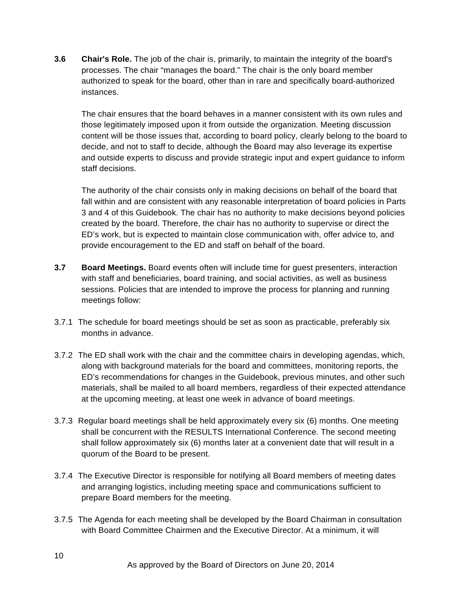**3.6 Chair's Role.** The job of the chair is, primarily, to maintain the integrity of the board's processes. The chair "manages the board." The chair is the only board member authorized to speak for the board, other than in rare and specifically board-authorized instances.

The chair ensures that the board behaves in a manner consistent with its own rules and those legitimately imposed upon it from outside the organization. Meeting discussion content will be those issues that, according to board policy, clearly belong to the board to decide, and not to staff to decide, although the Board may also leverage its expertise and outside experts to discuss and provide strategic input and expert guidance to inform staff decisions.

The authority of the chair consists only in making decisions on behalf of the board that fall within and are consistent with any reasonable interpretation of board policies in Parts 3 and 4 of this Guidebook. The chair has no authority to make decisions beyond policies created by the board. Therefore, the chair has no authority to supervise or direct the ED's work, but is expected to maintain close communication with, offer advice to, and provide encouragement to the ED and staff on behalf of the board.

- **3.7 Board Meetings.** Board events often will include time for guest presenters, interaction with staff and beneficiaries, board training, and social activities, as well as business sessions. Policies that are intended to improve the process for planning and running meetings follow:
- 3.7.1 The schedule for board meetings should be set as soon as practicable, preferably six months in advance.
- 3.7.2 The ED shall work with the chair and the committee chairs in developing agendas, which, along with background materials for the board and committees, monitoring reports, the ED's recommendations for changes in the Guidebook, previous minutes, and other such materials, shall be mailed to all board members, regardless of their expected attendance at the upcoming meeting, at least one week in advance of board meetings.
- 3.7.3 Regular board meetings shall be held approximately every six (6) months. One meeting shall be concurrent with the RESULTS International Conference. The second meeting shall follow approximately six (6) months later at a convenient date that will result in a quorum of the Board to be present.
- 3.7.4 The Executive Director is responsible for notifying all Board members of meeting dates and arranging logistics, including meeting space and communications sufficient to prepare Board members for the meeting.
- 3.7.5 The Agenda for each meeting shall be developed by the Board Chairman in consultation with Board Committee Chairmen and the Executive Director. At a minimum, it will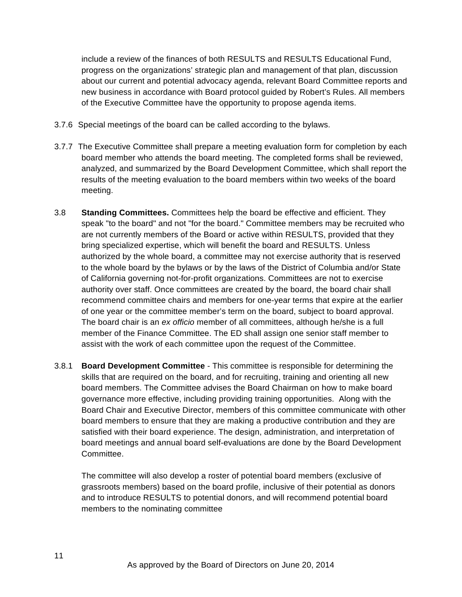include a review of the finances of both RESULTS and RESULTS Educational Fund, progress on the organizations' strategic plan and management of that plan, discussion about our current and potential advocacy agenda, relevant Board Committee reports and new business in accordance with Board protocol guided by Robert's Rules. All members of the Executive Committee have the opportunity to propose agenda items.

- 3.7.6 Special meetings of the board can be called according to the bylaws.
- 3.7.7 The Executive Committee shall prepare a meeting evaluation form for completion by each board member who attends the board meeting. The completed forms shall be reviewed, analyzed, and summarized by the Board Development Committee, which shall report the results of the meeting evaluation to the board members within two weeks of the board meeting.
- 3.8 **Standing Committees.** Committees help the board be effective and efficient. They speak "to the board" and not "for the board." Committee members may be recruited who are not currently members of the Board or active within RESULTS, provided that they bring specialized expertise, which will benefit the board and RESULTS. Unless authorized by the whole board, a committee may not exercise authority that is reserved to the whole board by the bylaws or by the laws of the District of Columbia and/or State of California governing not-for-profit organizations. Committees are not to exercise authority over staff. Once committees are created by the board, the board chair shall recommend committee chairs and members for one-year terms that expire at the earlier of one year or the committee member's term on the board, subject to board approval. The board chair is an *ex officio* member of all committees, although he/she is a full member of the Finance Committee. The ED shall assign one senior staff member to assist with the work of each committee upon the request of the Committee.
- 3.8.1 **Board Development Committee** This committee is responsible for determining the skills that are required on the board, and for recruiting, training and orienting all new board members. The Committee advises the Board Chairman on how to make board governance more effective, including providing training opportunities. Along with the Board Chair and Executive Director, members of this committee communicate with other board members to ensure that they are making a productive contribution and they are satisfied with their board experience. The design, administration, and interpretation of board meetings and annual board self-evaluations are done by the Board Development Committee.

The committee will also develop a roster of potential board members (exclusive of grassroots members) based on the board profile, inclusive of their potential as donors and to introduce RESULTS to potential donors, and will recommend potential board members to the nominating committee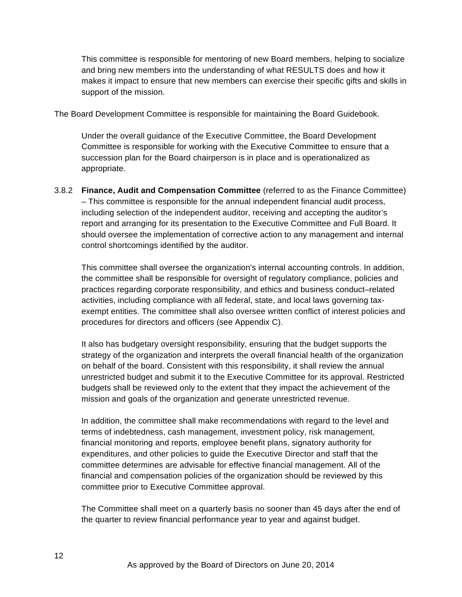This committee is responsible for mentoring of new Board members, helping to socialize and bring new members into the understanding of what RESULTS does and how it makes it impact to ensure that new members can exercise their specific gifts and skills in support of the mission.

The Board Development Committee is responsible for maintaining the Board Guidebook.

Under the overall guidance of the Executive Committee, the Board Development Committee is responsible for working with the Executive Committee to ensure that a succession plan for the Board chairperson is in place and is operationalized as appropriate.

3.8.2 **Finance, Audit and Compensation Committee** (referred to as the Finance Committee) – This committee is responsible for the annual independent financial audit process, including selection of the independent auditor, receiving and accepting the auditor's report and arranging for its presentation to the Executive Committee and Full Board. It should oversee the implementation of corrective action to any management and internal control shortcomings identified by the auditor.

This committee shall oversee the organization's internal accounting controls. In addition, the committee shall be responsible for oversight of regulatory compliance, policies and practices regarding corporate responsibility, and ethics and business conduct–related activities, including compliance with all federal, state, and local laws governing taxexempt entities. The committee shall also oversee written conflict of interest policies and procedures for directors and officers (see Appendix C).

It also has budgetary oversight responsibility, ensuring that the budget supports the strategy of the organization and interprets the overall financial health of the organization on behalf of the board. Consistent with this responsibility, it shall review the annual unrestricted budget and submit it to the Executive Committee for its approval. Restricted budgets shall be reviewed only to the extent that they impact the achievement of the mission and goals of the organization and generate unrestricted revenue.

In addition, the committee shall make recommendations with regard to the level and terms of indebtedness, cash management, investment policy, risk management, financial monitoring and reports, employee benefit plans, signatory authority for expenditures, and other policies to guide the Executive Director and staff that the committee determines are advisable for effective financial management. All of the financial and compensation policies of the organization should be reviewed by this committee prior to Executive Committee approval.

The Committee shall meet on a quarterly basis no sooner than 45 days after the end of the quarter to review financial performance year to year and against budget.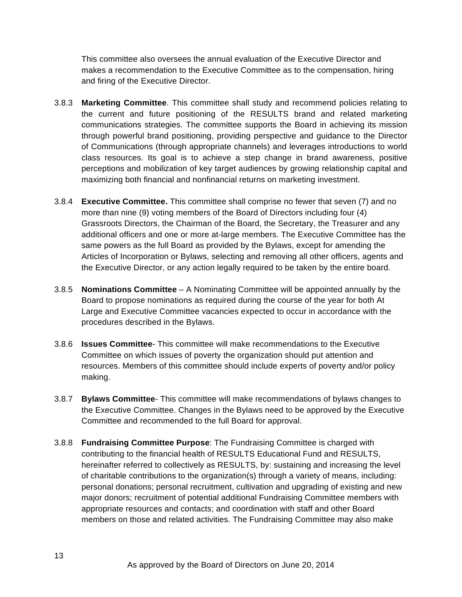This committee also oversees the annual evaluation of the Executive Director and makes a recommendation to the Executive Committee as to the compensation, hiring and firing of the Executive Director.

- 3.8.3 **Marketing Committee**. This committee shall study and recommend policies relating to the current and future positioning of the RESULTS brand and related marketing communications strategies. The committee supports the Board in achieving its mission through powerful brand positioning, providing perspective and guidance to the Director of Communications (through appropriate channels) and leverages introductions to world class resources. Its goal is to achieve a step change in brand awareness, positive perceptions and mobilization of key target audiences by growing relationship capital and maximizing both financial and nonfinancial returns on marketing investment.
- 3.8.4 **Executive Committee.** This committee shall comprise no fewer that seven (7) and no more than nine (9) voting members of the Board of Directors including four (4) Grassroots Directors, the Chairman of the Board, the Secretary, the Treasurer and any additional officers and one or more at-large members. The Executive Committee has the same powers as the full Board as provided by the Bylaws, except for amending the Articles of Incorporation or Bylaws, selecting and removing all other officers, agents and the Executive Director, or any action legally required to be taken by the entire board.
- 3.8.5 **Nominations Committee** A Nominating Committee will be appointed annually by the Board to propose nominations as required during the course of the year for both At Large and Executive Committee vacancies expected to occur in accordance with the procedures described in the Bylaws.
- 3.8.6 **Issues Committee** This committee will make recommendations to the Executive Committee on which issues of poverty the organization should put attention and resources. Members of this committee should include experts of poverty and/or policy making.
- 3.8.7 **Bylaws Committee** This committee will make recommendations of bylaws changes to the Executive Committee. Changes in the Bylaws need to be approved by the Executive Committee and recommended to the full Board for approval.
- 3.8.8 **Fundraising Committee Purpose**: The Fundraising Committee is charged with contributing to the financial health of RESULTS Educational Fund and RESULTS, hereinafter referred to collectively as RESULTS, by: sustaining and increasing the level of charitable contributions to the organization(s) through a variety of means, including: personal donations; personal recruitment, cultivation and upgrading of existing and new major donors; recruitment of potential additional Fundraising Committee members with appropriate resources and contacts; and coordination with staff and other Board members on those and related activities. The Fundraising Committee may also make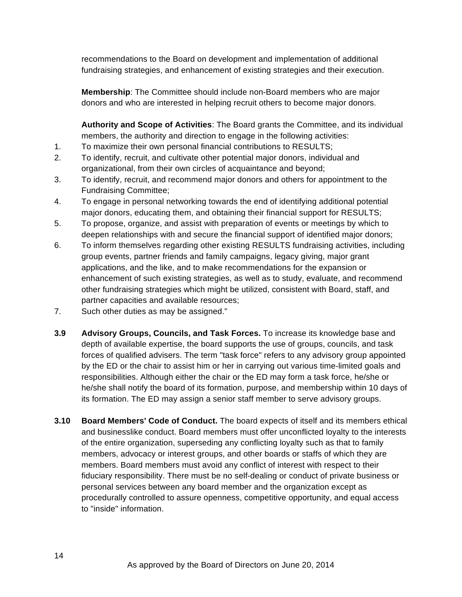recommendations to the Board on development and implementation of additional fundraising strategies, and enhancement of existing strategies and their execution.

**Membership**: The Committee should include non-Board members who are major donors and who are interested in helping recruit others to become major donors.

**Authority and Scope of Activities**: The Board grants the Committee, and its individual members, the authority and direction to engage in the following activities:

- 1. To maximize their own personal financial contributions to RESULTS;
- 2. To identify, recruit, and cultivate other potential major donors, individual and organizational, from their own circles of acquaintance and beyond;
- 3. To identify, recruit, and recommend major donors and others for appointment to the Fundraising Committee;
- 4. To engage in personal networking towards the end of identifying additional potential major donors, educating them, and obtaining their financial support for RESULTS;
- 5. To propose, organize, and assist with preparation of events or meetings by which to deepen relationships with and secure the financial support of identified major donors;
- 6. To inform themselves regarding other existing RESULTS fundraising activities, including group events, partner friends and family campaigns, legacy giving, major grant applications, and the like, and to make recommendations for the expansion or enhancement of such existing strategies, as well as to study, evaluate, and recommend other fundraising strategies which might be utilized, consistent with Board, staff, and partner capacities and available resources;
- 7. Such other duties as may be assigned."
- **3.9 Advisory Groups, Councils, and Task Forces.** To increase its knowledge base and depth of available expertise, the board supports the use of groups, councils, and task forces of qualified advisers. The term "task force" refers to any advisory group appointed by the ED or the chair to assist him or her in carrying out various time-limited goals and responsibilities. Although either the chair or the ED may form a task force, he/she or he/she shall notify the board of its formation, purpose, and membership within 10 days of its formation. The ED may assign a senior staff member to serve advisory groups.
- **3.10 Board Members' Code of Conduct.** The board expects of itself and its members ethical and businesslike conduct. Board members must offer unconflicted loyalty to the interests of the entire organization, superseding any conflicting loyalty such as that to family members, advocacy or interest groups, and other boards or staffs of which they are members. Board members must avoid any conflict of interest with respect to their fiduciary responsibility. There must be no self-dealing or conduct of private business or personal services between any board member and the organization except as procedurally controlled to assure openness, competitive opportunity, and equal access to "inside" information.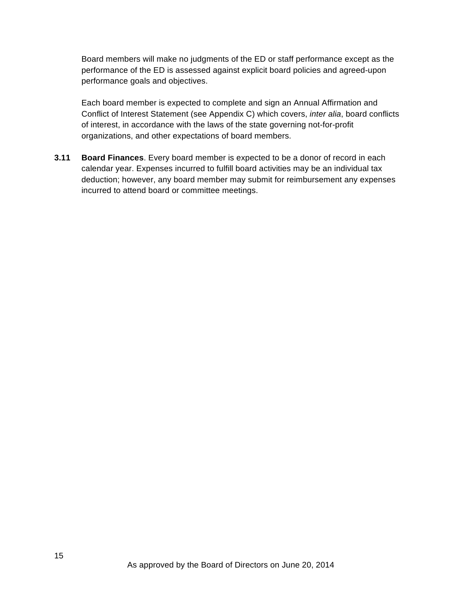Board members will make no judgments of the ED or staff performance except as the performance of the ED is assessed against explicit board policies and agreed-upon performance goals and objectives.

Each board member is expected to complete and sign an Annual Affirmation and Conflict of Interest Statement (see Appendix C) which covers, *inter alia*, board conflicts of interest, in accordance with the laws of the state governing not-for-profit organizations, and other expectations of board members.

**3.11 Board Finances**. Every board member is expected to be a donor of record in each calendar year. Expenses incurred to fulfill board activities may be an individual tax deduction; however, any board member may submit for reimbursement any expenses incurred to attend board or committee meetings.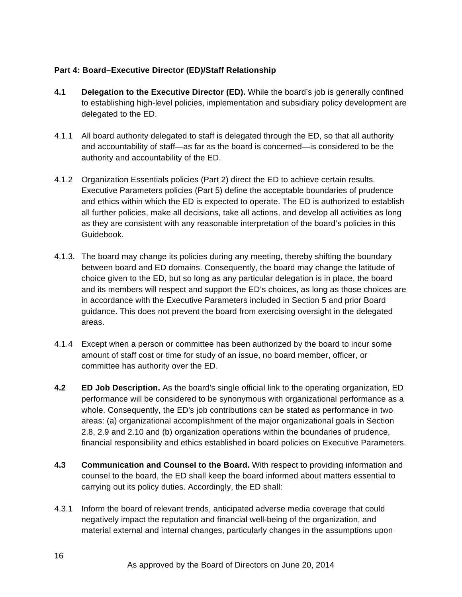### **Part 4: Board–Executive Director (ED)/Staff Relationship**

- **4.1 Delegation to the Executive Director (ED).** While the board's job is generally confined to establishing high-level policies, implementation and subsidiary policy development are delegated to the ED.
- 4.1.1 All board authority delegated to staff is delegated through the ED, so that all authority and accountability of staff—as far as the board is concerned—is considered to be the authority and accountability of the ED.
- 4.1.2 Organization Essentials policies (Part 2) direct the ED to achieve certain results. Executive Parameters policies (Part 5) define the acceptable boundaries of prudence and ethics within which the ED is expected to operate. The ED is authorized to establish all further policies, make all decisions, take all actions, and develop all activities as long as they are consistent with any reasonable interpretation of the board's policies in this Guidebook.
- 4.1.3. The board may change its policies during any meeting, thereby shifting the boundary between board and ED domains. Consequently, the board may change the latitude of choice given to the ED, but so long as any particular delegation is in place, the board and its members will respect and support the ED's choices, as long as those choices are in accordance with the Executive Parameters included in Section 5 and prior Board guidance. This does not prevent the board from exercising oversight in the delegated areas.
- 4.1.4 Except when a person or committee has been authorized by the board to incur some amount of staff cost or time for study of an issue, no board member, officer, or committee has authority over the ED.
- **4.2 ED Job Description.** As the board's single official link to the operating organization, ED performance will be considered to be synonymous with organizational performance as a whole. Consequently, the ED's job contributions can be stated as performance in two areas: (a) organizational accomplishment of the major organizational goals in Section 2.8, 2.9 and 2.10 and (b) organization operations within the boundaries of prudence, financial responsibility and ethics established in board policies on Executive Parameters.
- **4.3 Communication and Counsel to the Board.** With respect to providing information and counsel to the board, the ED shall keep the board informed about matters essential to carrying out its policy duties. Accordingly, the ED shall:
- 4.3.1 Inform the board of relevant trends, anticipated adverse media coverage that could negatively impact the reputation and financial well-being of the organization, and material external and internal changes, particularly changes in the assumptions upon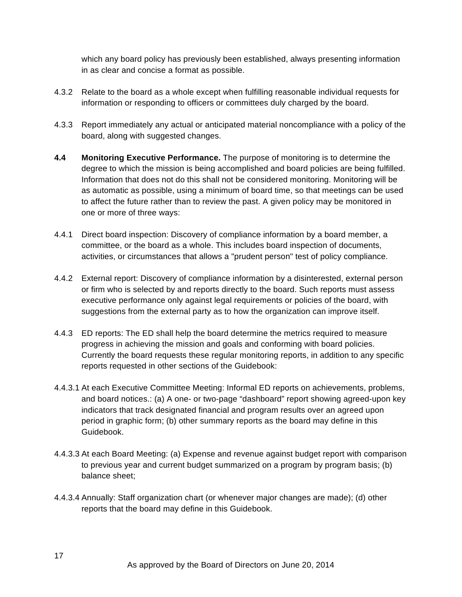which any board policy has previously been established, always presenting information in as clear and concise a format as possible.

- 4.3.2 Relate to the board as a whole except when fulfilling reasonable individual requests for information or responding to officers or committees duly charged by the board.
- 4.3.3 Report immediately any actual or anticipated material noncompliance with a policy of the board, along with suggested changes.
- **4.4 Monitoring Executive Performance.** The purpose of monitoring is to determine the degree to which the mission is being accomplished and board policies are being fulfilled. Information that does not do this shall not be considered monitoring. Monitoring will be as automatic as possible, using a minimum of board time, so that meetings can be used to affect the future rather than to review the past. A given policy may be monitored in one or more of three ways:
- 4.4.1 Direct board inspection: Discovery of compliance information by a board member, a committee, or the board as a whole. This includes board inspection of documents, activities, or circumstances that allows a "prudent person" test of policy compliance.
- 4.4.2 External report: Discovery of compliance information by a disinterested, external person or firm who is selected by and reports directly to the board. Such reports must assess executive performance only against legal requirements or policies of the board, with suggestions from the external party as to how the organization can improve itself.
- 4.4.3 ED reports: The ED shall help the board determine the metrics required to measure progress in achieving the mission and goals and conforming with board policies. Currently the board requests these regular monitoring reports, in addition to any specific reports requested in other sections of the Guidebook:
- 4.4.3.1 At each Executive Committee Meeting: Informal ED reports on achievements, problems, and board notices.: (a) A one- or two-page "dashboard" report showing agreed-upon key indicators that track designated financial and program results over an agreed upon period in graphic form; (b) other summary reports as the board may define in this Guidebook.
- 4.4.3.3 At each Board Meeting: (a) Expense and revenue against budget report with comparison to previous year and current budget summarized on a program by program basis; (b) balance sheet;
- 4.4.3.4 Annually: Staff organization chart (or whenever major changes are made); (d) other reports that the board may define in this Guidebook.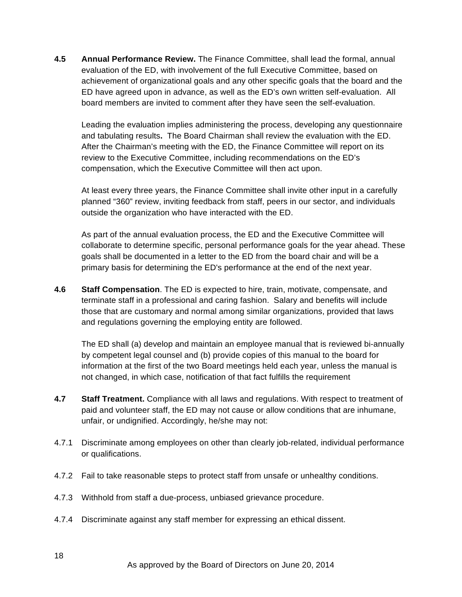**4.5 Annual Performance Review.** The Finance Committee, shall lead the formal, annual evaluation of the ED, with involvement of the full Executive Committee, based on achievement of organizational goals and any other specific goals that the board and the ED have agreed upon in advance, as well as the ED's own written self-evaluation. All board members are invited to comment after they have seen the self-evaluation.

Leading the evaluation implies administering the process, developing any questionnaire and tabulating results**.** The Board Chairman shall review the evaluation with the ED. After the Chairman's meeting with the ED, the Finance Committee will report on its review to the Executive Committee, including recommendations on the ED's compensation, which the Executive Committee will then act upon.

At least every three years, the Finance Committee shall invite other input in a carefully planned "360" review, inviting feedback from staff, peers in our sector, and individuals outside the organization who have interacted with the ED.

As part of the annual evaluation process, the ED and the Executive Committee will collaborate to determine specific, personal performance goals for the year ahead. These goals shall be documented in a letter to the ED from the board chair and will be a primary basis for determining the ED's performance at the end of the next year.

**4.6 Staff Compensation**. The ED is expected to hire, train, motivate, compensate, and terminate staff in a professional and caring fashion. Salary and benefits will include those that are customary and normal among similar organizations, provided that laws and regulations governing the employing entity are followed.

The ED shall (a) develop and maintain an employee manual that is reviewed bi-annually by competent legal counsel and (b) provide copies of this manual to the board for information at the first of the two Board meetings held each year, unless the manual is not changed, in which case, notification of that fact fulfills the requirement

- **4.7 Staff Treatment.** Compliance with all laws and regulations. With respect to treatment of paid and volunteer staff, the ED may not cause or allow conditions that are inhumane, unfair, or undignified. Accordingly, he/she may not:
- 4.7.1 Discriminate among employees on other than clearly job-related, individual performance or qualifications.
- 4.7.2 Fail to take reasonable steps to protect staff from unsafe or unhealthy conditions.
- 4.7.3 Withhold from staff a due-process, unbiased grievance procedure.
- 4.7.4 Discriminate against any staff member for expressing an ethical dissent.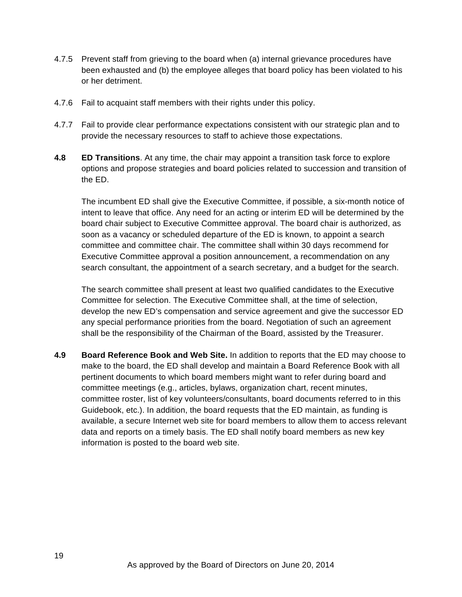- 4.7.5 Prevent staff from grieving to the board when (a) internal grievance procedures have been exhausted and (b) the employee alleges that board policy has been violated to his or her detriment.
- 4.7.6 Fail to acquaint staff members with their rights under this policy.
- 4.7.7 Fail to provide clear performance expectations consistent with our strategic plan and to provide the necessary resources to staff to achieve those expectations.
- **4.8 ED Transitions**. At any time, the chair may appoint a transition task force to explore options and propose strategies and board policies related to succession and transition of the ED.

The incumbent ED shall give the Executive Committee, if possible, a six-month notice of intent to leave that office. Any need for an acting or interim ED will be determined by the board chair subject to Executive Committee approval. The board chair is authorized, as soon as a vacancy or scheduled departure of the ED is known, to appoint a search committee and committee chair. The committee shall within 30 days recommend for Executive Committee approval a position announcement, a recommendation on any search consultant, the appointment of a search secretary, and a budget for the search.

The search committee shall present at least two qualified candidates to the Executive Committee for selection. The Executive Committee shall, at the time of selection, develop the new ED's compensation and service agreement and give the successor ED any special performance priorities from the board. Negotiation of such an agreement shall be the responsibility of the Chairman of the Board, assisted by the Treasurer.

**4.9 Board Reference Book and Web Site.** In addition to reports that the ED may choose to make to the board, the ED shall develop and maintain a Board Reference Book with all pertinent documents to which board members might want to refer during board and committee meetings (e.g., articles, bylaws, organization chart, recent minutes, committee roster, list of key volunteers/consultants, board documents referred to in this Guidebook, etc.). In addition, the board requests that the ED maintain, as funding is available, a secure Internet web site for board members to allow them to access relevant data and reports on a timely basis. The ED shall notify board members as new key information is posted to the board web site.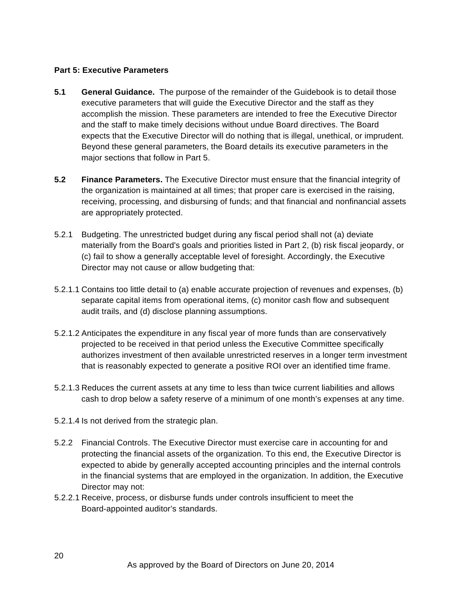#### **Part 5: Executive Parameters**

- **5.1 General Guidance.** The purpose of the remainder of the Guidebook is to detail those executive parameters that will guide the Executive Director and the staff as they accomplish the mission. These parameters are intended to free the Executive Director and the staff to make timely decisions without undue Board directives. The Board expects that the Executive Director will do nothing that is illegal, unethical, or imprudent. Beyond these general parameters, the Board details its executive parameters in the major sections that follow in Part 5.
- **5.2 Finance Parameters.** The Executive Director must ensure that the financial integrity of the organization is maintained at all times; that proper care is exercised in the raising, receiving, processing, and disbursing of funds; and that financial and nonfinancial assets are appropriately protected.
- 5.2.1 Budgeting. The unrestricted budget during any fiscal period shall not (a) deviate materially from the Board's goals and priorities listed in Part 2, (b) risk fiscal jeopardy, or (c) fail to show a generally acceptable level of foresight. Accordingly, the Executive Director may not cause or allow budgeting that:
- 5.2.1.1 Contains too little detail to (a) enable accurate projection of revenues and expenses, (b) separate capital items from operational items, (c) monitor cash flow and subsequent audit trails, and (d) disclose planning assumptions.
- 5.2.1.2 Anticipates the expenditure in any fiscal year of more funds than are conservatively projected to be received in that period unless the Executive Committee specifically authorizes investment of then available unrestricted reserves in a longer term investment that is reasonably expected to generate a positive ROI over an identified time frame.
- 5.2.1.3 Reduces the current assets at any time to less than twice current liabilities and allows cash to drop below a safety reserve of a minimum of one month's expenses at any time.
- 5.2.1.4 Is not derived from the strategic plan.
- 5.2.2 Financial Controls. The Executive Director must exercise care in accounting for and protecting the financial assets of the organization. To this end, the Executive Director is expected to abide by generally accepted accounting principles and the internal controls in the financial systems that are employed in the organization. In addition, the Executive Director may not:
- 5.2.2.1 Receive, process, or disburse funds under controls insufficient to meet the Board-appointed auditor's standards.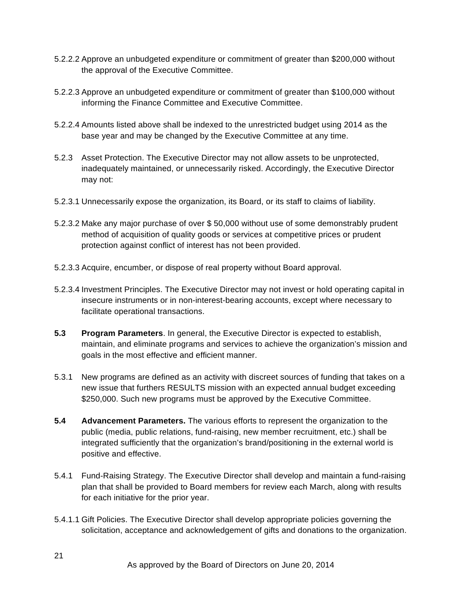- 5.2.2.2 Approve an unbudgeted expenditure or commitment of greater than \$200,000 without the approval of the Executive Committee.
- 5.2.2.3 Approve an unbudgeted expenditure or commitment of greater than \$100,000 without informing the Finance Committee and Executive Committee.
- 5.2.2.4 Amounts listed above shall be indexed to the unrestricted budget using 2014 as the base year and may be changed by the Executive Committee at any time.
- 5.2.3 Asset Protection. The Executive Director may not allow assets to be unprotected, inadequately maintained, or unnecessarily risked. Accordingly, the Executive Director may not:
- 5.2.3.1 Unnecessarily expose the organization, its Board, or its staff to claims of liability.
- 5.2.3.2 Make any major purchase of over \$ 50,000 without use of some demonstrably prudent method of acquisition of quality goods or services at competitive prices or prudent protection against conflict of interest has not been provided.
- 5.2.3.3 Acquire, encumber, or dispose of real property without Board approval.
- 5.2.3.4 Investment Principles. The Executive Director may not invest or hold operating capital in insecure instruments or in non-interest-bearing accounts, except where necessary to facilitate operational transactions.
- **5.3 Program Parameters**. In general, the Executive Director is expected to establish, maintain, and eliminate programs and services to achieve the organization's mission and goals in the most effective and efficient manner.
- 5.3.1 New programs are defined as an activity with discreet sources of funding that takes on a new issue that furthers RESULTS mission with an expected annual budget exceeding \$250,000. Such new programs must be approved by the Executive Committee.
- **5.4 Advancement Parameters.** The various efforts to represent the organization to the public (media, public relations, fund-raising, new member recruitment, etc.) shall be integrated sufficiently that the organization's brand/positioning in the external world is positive and effective.
- 5.4.1 Fund-Raising Strategy. The Executive Director shall develop and maintain a fund-raising plan that shall be provided to Board members for review each March, along with results for each initiative for the prior year.
- 5.4.1.1 Gift Policies. The Executive Director shall develop appropriate policies governing the solicitation, acceptance and acknowledgement of gifts and donations to the organization.